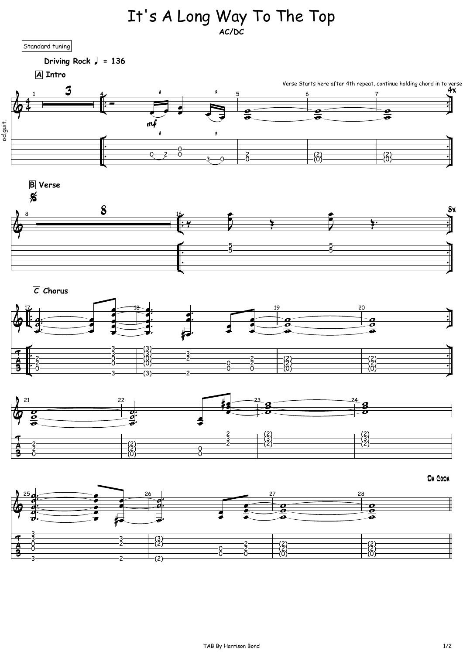It's A Long Way To The Top **AC/DC**

Standard tuning

Driving Rock  $\sqrt{ }$  = 136



**A Intro**